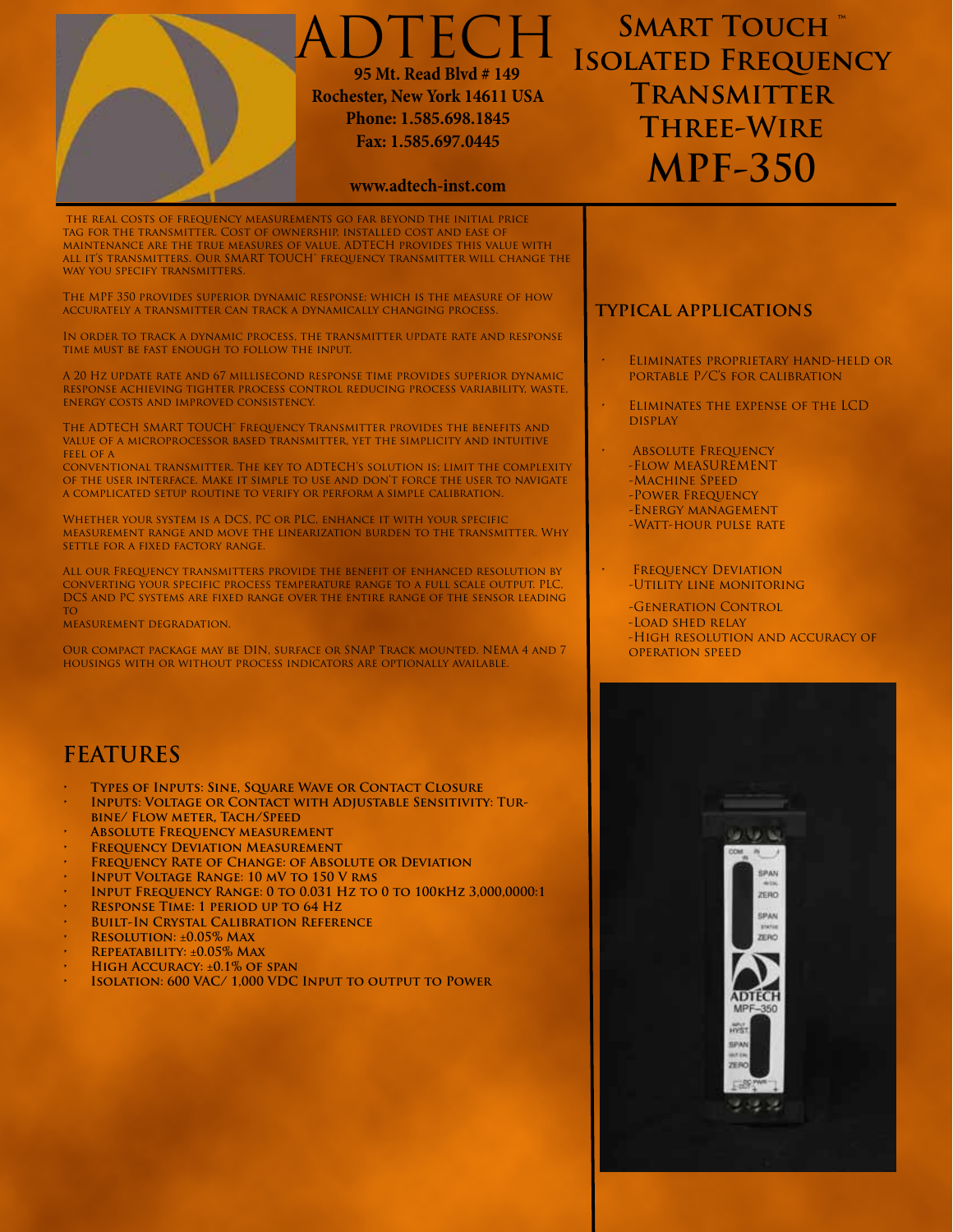

tag for the transmitter. Cost of ownership, installed cost and ease of maintenance are the true measures of value. ADTECH provides this value with all it's transmitters. Our SMART TOUCH™ frequency transmitter will change the way you specify transmitters.

The MPF 350 provides superior dynamic response; which is the measure of how accurately a transmitter can track a dynamically changing process.

In order to track a dynamic process, the transmitter update rate and response time must be fast enough to follow the input.

A 20 Hz update rate and 67 millisecond response time provides superior dynamic response achieving tighter process control reducing process variability, waste, energy costs and improved consistency.

THE ADTECH SMART TOUCH™ FREQUENCY TRANSMITTER PROVIDES THE BENEFITS AND value of a microprocessor based transmitter, yet the simplicity and intuitive FEEL OF A

conventional transmitter. The key to ADTECH's solution is; limit the complexity of the user interface. Make it simple to use and don't force the user to navigate a complicated setup routine to verify or perform a simple calibration.

Whether your system is a DCS, PC or PLC, enhance it with your specific measurement range and move the linearization burden to the transmitter. Why settle for a fixed factory range.

All our Frequency transmitters provide the benefit of enhanced resolution by converting your specific process temperature range to a full scale output. PLC, DCS and PC systems are fixed range over the entire range of the sensor leading TO<sub>1</sub>

measurement degradation.

Our compact package may be DIN, surface or SNAP Track mounted. NEMA 4 and 7 housings with or without process indicators are optionally available.

## **typical applications**

- **ELIMINATES PROPRIETARY HAND-HELD OR** portable P/C's for calibration
- ELIMINATES THE EXPENSE OF THE LCD **DISPLAY**
- **ABSOLUTE FREQUENCY** -Flow MeASUREMENT
	- -Machine Speed
	- -Power Frequency
	- -Energy management
	- -Watt-hour pulse rate
	- **FREQUENCY DEVIATION** -Utility line monitoring

 -Generation Control -Load shed relay -High resolution and accuracy of operation speed

## **FEATURES**

- **TYPES OF INPUTS: SINE, SQUARE WAVE OR CONTACT CLOSURE**
- **INPUTS: VOLTAGE OR CONTACT WITH ADJUSTABLE SENSITIVITY: TURbine/ Flow meter, Tach/Speed**
- **ABSOLUTE FREQUENCY MEASUREMENT**
- **FREQUENCY DEVIATION MEASUREMENT**
- **FREQUENCY RATE OF CHANGE: OF ABSOLUTE OR DEVIATION**
- **INPUT VOLTAGE RANGE: 10 MV TO 150 V RMS**
- **• Input Frequency Range: 0 to 0.031 Hz to 0 to 100kHz 3,000,0000:1**
- **• Response Time: 1 period up to 64 Hz**
- **BUILT-IN CRYSTAL CALIBRATION REFERENCE**
- **• Resolution:** ±**0.05% Max**
- **• Repeatability:** ±**0.05% Max**
- **• High Accuracy:** ±**0.1% of span**
- **ISOLATION: 600 VAC/ 1,000 VDC INPUT TO OUTPUT TO POWER**